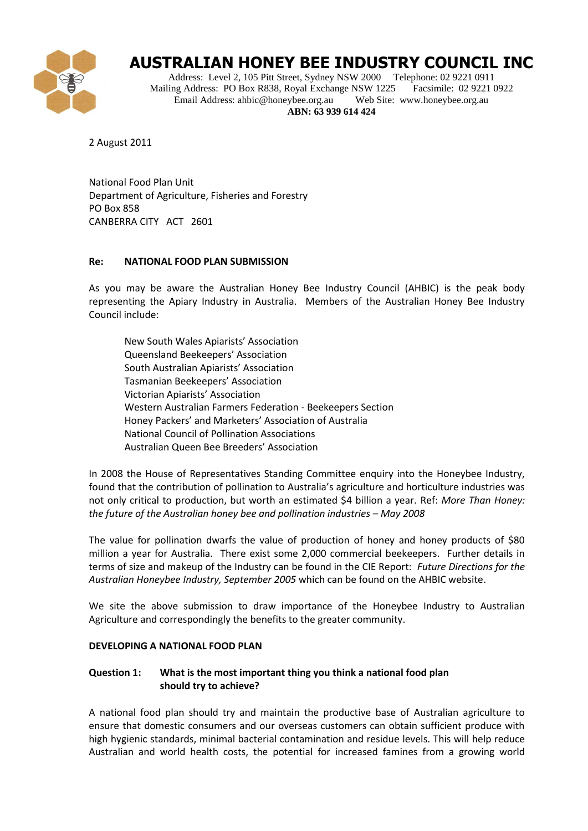

# **AUSTRALIAN HONEY BEE INDUSTRY COUNCIL INC**

Address: Level 2, 105 Pitt Street, Sydney NSW 2000 Telephone: 02 9221 0911 Mailing Address: PO Box R838, Royal Exchange NSW 1225 Facsimile: 02 9221 0922 Email Address: ahbic@honeybee.org.au Web Site: www.honeybee.org.au **ABN: 63 939 614 424**

2 August 2011

National Food Plan Unit Department of Agriculture, Fisheries and Forestry PO Box 858 CANBERRA CITY ACT 2601

#### **Re: NATIONAL FOOD PLAN SUBMISSION**

As you may be aware the Australian Honey Bee Industry Council (AHBIC) is the peak body representing the Apiary Industry in Australia. Members of the Australian Honey Bee Industry Council include:

New South Wales Apiarists' Association Queensland Beekeepers' Association South Australian Apiarists' Association Tasmanian Beekeepers' Association Victorian Apiarists' Association Western Australian Farmers Federation - Beekeepers Section Honey Packers' and Marketers' Association of Australia National Council of Pollination Associations Australian Queen Bee Breeders' Association

In 2008 the House of Representatives Standing Committee enquiry into the Honeybee Industry, found that the contribution of pollination to Australia's agriculture and horticulture industries was not only critical to production, but worth an estimated \$4 billion a year. Ref: *More Than Honey: the future of the Australian honey bee and pollination industries – May 2008* 

The value for pollination dwarfs the value of production of honey and honey products of \$80 million a year for Australia. There exist some 2,000 commercial beekeepers. Further details in terms of size and makeup of the Industry can be found in the CIE Report: *Future Directions for the Australian Honeybee Industry, September 2005* which can be found on the AHBIC website.

We site the above submission to draw importance of the Honeybee Industry to Australian Agriculture and correspondingly the benefits to the greater community.

#### **DEVELOPING A NATIONAL FOOD PLAN**

## **Question 1: What is the most important thing you think a national food plan should try to achieve?**

A national food plan should try and maintain the productive base of Australian agriculture to ensure that domestic consumers and our overseas customers can obtain sufficient produce with high hygienic standards, minimal bacterial contamination and residue levels. This will help reduce Australian and world health costs, the potential for increased famines from a growing world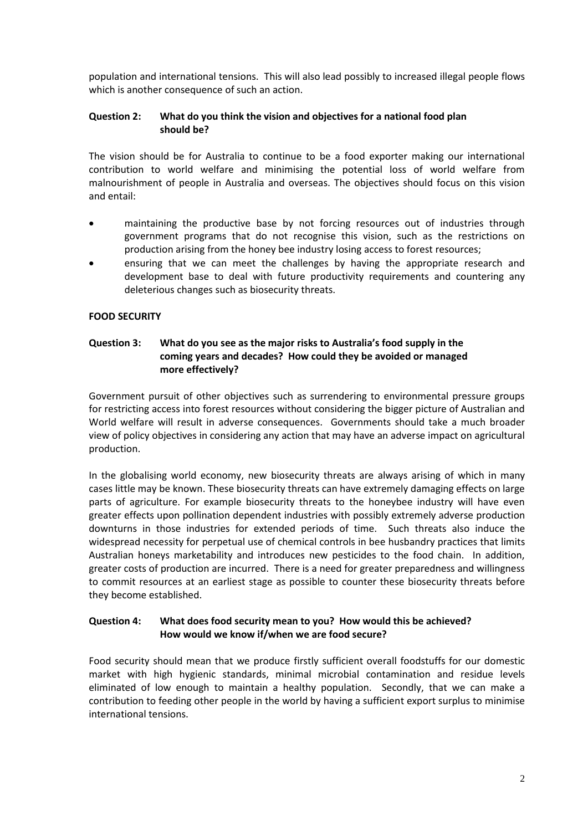population and international tensions. This will also lead possibly to increased illegal people flows which is another consequence of such an action.

#### **Question 2: What do you think the vision and objectives for a national food plan should be?**

The vision should be for Australia to continue to be a food exporter making our international contribution to world welfare and minimising the potential loss of world welfare from malnourishment of people in Australia and overseas. The objectives should focus on this vision and entail:

- maintaining the productive base by not forcing resources out of industries through government programs that do not recognise this vision, such as the restrictions on production arising from the honey bee industry losing access to forest resources;
- ensuring that we can meet the challenges by having the appropriate research and development base to deal with future productivity requirements and countering any deleterious changes such as biosecurity threats.

## **FOOD SECURITY**

## **Question 3: What do you see as the major risks to Australia's food supply in the coming years and decades? How could they be avoided or managed more effectively?**

Government pursuit of other objectives such as surrendering to environmental pressure groups for restricting access into forest resources without considering the bigger picture of Australian and World welfare will result in adverse consequences. Governments should take a much broader view of policy objectives in considering any action that may have an adverse impact on agricultural production.

In the globalising world economy, new biosecurity threats are always arising of which in many cases little may be known. These biosecurity threats can have extremely damaging effects on large parts of agriculture. For example biosecurity threats to the honeybee industry will have even greater effects upon pollination dependent industries with possibly extremely adverse production downturns in those industries for extended periods of time. Such threats also induce the widespread necessity for perpetual use of chemical controls in bee husbandry practices that limits Australian honeys marketability and introduces new pesticides to the food chain. In addition, greater costs of production are incurred. There is a need for greater preparedness and willingness to commit resources at an earliest stage as possible to counter these biosecurity threats before they become established.

#### **Question 4: What does food security mean to you? How would this be achieved? How would we know if/when we are food secure?**

Food security should mean that we produce firstly sufficient overall foodstuffs for our domestic market with high hygienic standards, minimal microbial contamination and residue levels eliminated of low enough to maintain a healthy population. Secondly, that we can make a contribution to feeding other people in the world by having a sufficient export surplus to minimise international tensions.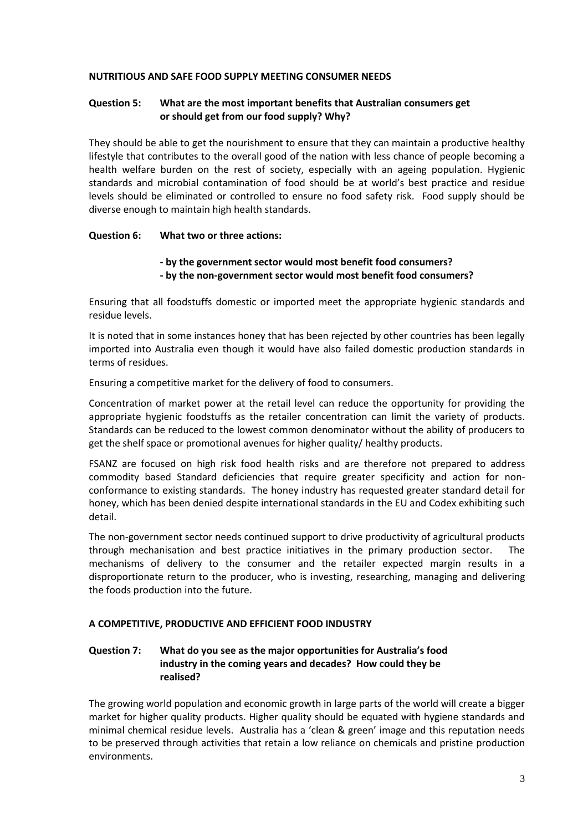#### **NUTRITIOUS AND SAFE FOOD SUPPLY MEETING CONSUMER NEEDS**

#### **Question 5: What are the most important benefits that Australian consumers get or should get from our food supply? Why?**

They should be able to get the nourishment to ensure that they can maintain a productive healthy lifestyle that contributes to the overall good of the nation with less chance of people becoming a health welfare burden on the rest of society, especially with an ageing population. Hygienic standards and microbial contamination of food should be at world's best practice and residue levels should be eliminated or controlled to ensure no food safety risk. Food supply should be diverse enough to maintain high health standards.

#### **Question 6: What two or three actions:**

## **- by the government sector would most benefit food consumers?**

**- by the non-government sector would most benefit food consumers?**

Ensuring that all foodstuffs domestic or imported meet the appropriate hygienic standards and residue levels.

It is noted that in some instances honey that has been rejected by other countries has been legally imported into Australia even though it would have also failed domestic production standards in terms of residues.

Ensuring a competitive market for the delivery of food to consumers.

Concentration of market power at the retail level can reduce the opportunity for providing the appropriate hygienic foodstuffs as the retailer concentration can limit the variety of products. Standards can be reduced to the lowest common denominator without the ability of producers to get the shelf space or promotional avenues for higher quality/ healthy products.

FSANZ are focused on high risk food health risks and are therefore not prepared to address commodity based Standard deficiencies that require greater specificity and action for nonconformance to existing standards. The honey industry has requested greater standard detail for honey, which has been denied despite international standards in the EU and Codex exhibiting such detail.

The non-government sector needs continued support to drive productivity of agricultural products through mechanisation and best practice initiatives in the primary production sector. The mechanisms of delivery to the consumer and the retailer expected margin results in a disproportionate return to the producer, who is investing, researching, managing and delivering the foods production into the future.

## **A COMPETITIVE, PRODUCTIVE AND EFFICIENT FOOD INDUSTRY**

## **Question 7: What do you see as the major opportunities for Australia's food industry in the coming years and decades? How could they be realised?**

The growing world population and economic growth in large parts of the world will create a bigger market for higher quality products. Higher quality should be equated with hygiene standards and minimal chemical residue levels. Australia has a 'clean & green' image and this reputation needs to be preserved through activities that retain a low reliance on chemicals and pristine production environments.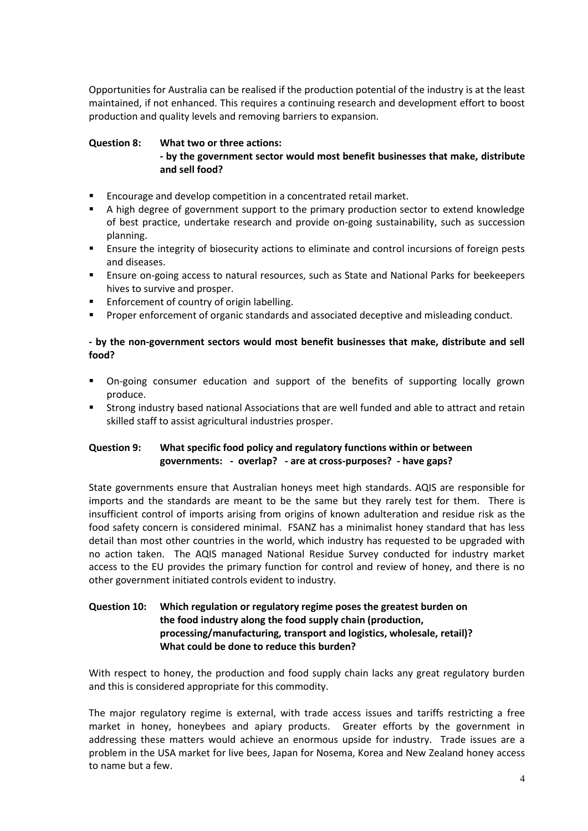Opportunities for Australia can be realised if the production potential of the industry is at the least maintained, if not enhanced. This requires a continuing research and development effort to boost production and quality levels and removing barriers to expansion.

## **Question 8: What two or three actions:**

## **- by the government sector would most benefit businesses that make, distribute and sell food?**

- Encourage and develop competition in a concentrated retail market.
- A high degree of government support to the primary production sector to extend knowledge of best practice, undertake research and provide on-going sustainability, such as succession planning.
- Ensure the integrity of biosecurity actions to eliminate and control incursions of foreign pests and diseases.
- Ensure on-going access to natural resources, such as State and National Parks for beekeepers hives to survive and prosper.
- **Enforcement of country of origin labelling.**
- **Proper enforcement of organic standards and associated deceptive and misleading conduct.**

## **- by the non-government sectors would most benefit businesses that make, distribute and sell food?**

- On-going consumer education and support of the benefits of supporting locally grown produce.
- Strong industry based national Associations that are well funded and able to attract and retain skilled staff to assist agricultural industries prosper.

# **Question 9: What specific food policy and regulatory functions within or between governments: - overlap? - are at cross-purposes? - have gaps?**

State governments ensure that Australian honeys meet high standards. AQIS are responsible for imports and the standards are meant to be the same but they rarely test for them. There is insufficient control of imports arising from origins of known adulteration and residue risk as the food safety concern is considered minimal. FSANZ has a minimalist honey standard that has less detail than most other countries in the world, which industry has requested to be upgraded with no action taken. The AQIS managed National Residue Survey conducted for industry market access to the EU provides the primary function for control and review of honey, and there is no other government initiated controls evident to industry.

# **Question 10: Which regulation or regulatory regime poses the greatest burden on the food industry along the food supply chain (production, processing/manufacturing, transport and logistics, wholesale, retail)? What could be done to reduce this burden?**

With respect to honey, the production and food supply chain lacks any great regulatory burden and this is considered appropriate for this commodity.

The major regulatory regime is external, with trade access issues and tariffs restricting a free market in honey, honeybees and apiary products. Greater efforts by the government in addressing these matters would achieve an enormous upside for industry. Trade issues are a problem in the USA market for live bees, Japan for Nosema, Korea and New Zealand honey access to name but a few.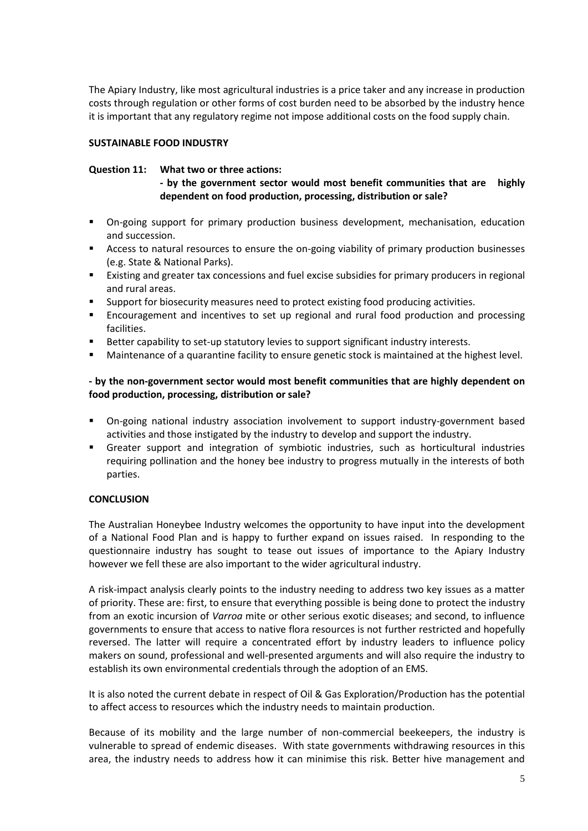The Apiary Industry, like most agricultural industries is a price taker and any increase in production costs through regulation or other forms of cost burden need to be absorbed by the industry hence it is important that any regulatory regime not impose additional costs on the food supply chain.

#### **SUSTAINABLE FOOD INDUSTRY**

#### **Question 11: What two or three actions:**

**- by the government sector would most benefit communities that are highly dependent on food production, processing, distribution or sale?**

- On-going support for primary production business development, mechanisation, education and succession.
- Access to natural resources to ensure the on-going viability of primary production businesses (e.g. State & National Parks).
- Existing and greater tax concessions and fuel excise subsidies for primary producers in regional and rural areas.
- **Support for biosecurity measures need to protect existing food producing activities.**
- Encouragement and incentives to set up regional and rural food production and processing facilities.
- Better capability to set-up statutory levies to support significant industry interests.
- **•** Maintenance of a quarantine facility to ensure genetic stock is maintained at the highest level.

## **- by the non-government sector would most benefit communities that are highly dependent on food production, processing, distribution or sale?**

- On-going national industry association involvement to support industry-government based activities and those instigated by the industry to develop and support the industry.
- Greater support and integration of symbiotic industries, such as horticultural industries requiring pollination and the honey bee industry to progress mutually in the interests of both parties.

#### **CONCLUSION**

The Australian Honeybee Industry welcomes the opportunity to have input into the development of a National Food Plan and is happy to further expand on issues raised. In responding to the questionnaire industry has sought to tease out issues of importance to the Apiary Industry however we fell these are also important to the wider agricultural industry.

A risk-impact analysis clearly points to the industry needing to address two key issues as a matter of priority. These are: first, to ensure that everything possible is being done to protect the industry from an exotic incursion of *Varroa* mite or other serious exotic diseases; and second, to influence governments to ensure that access to native flora resources is not further restricted and hopefully reversed. The latter will require a concentrated effort by industry leaders to influence policy makers on sound, professional and well-presented arguments and will also require the industry to establish its own environmental credentials through the adoption of an EMS.

It is also noted the current debate in respect of Oil & Gas Exploration/Production has the potential to affect access to resources which the industry needs to maintain production.

Because of its mobility and the large number of non-commercial beekeepers, the industry is vulnerable to spread of endemic diseases. With state governments withdrawing resources in this area, the industry needs to address how it can minimise this risk. Better hive management and